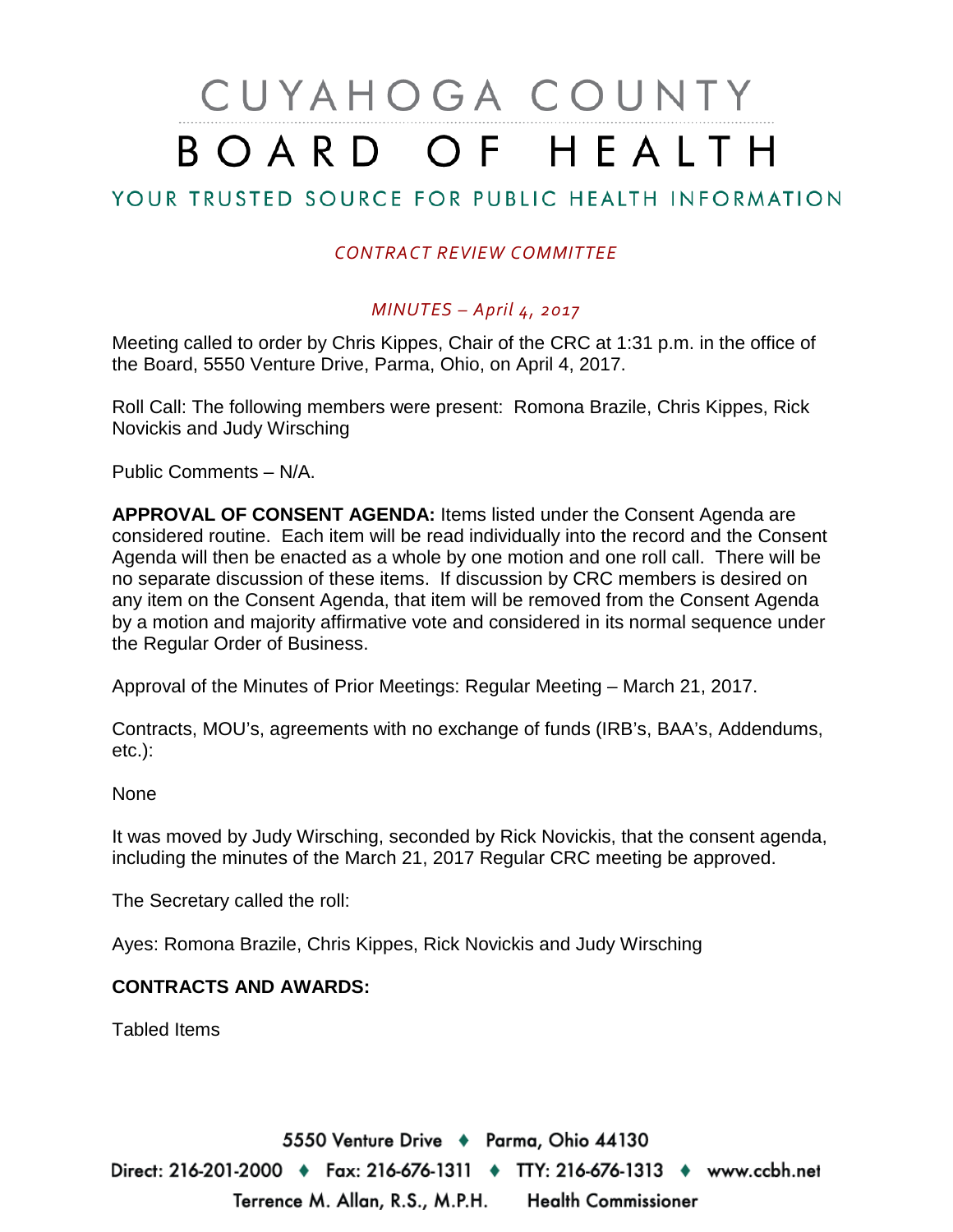# CUYAHOGA COUNTY BOARD OF HEALTH

## YOUR TRUSTED SOURCE FOR PUBLIC HEALTH INFORMATION

## *CONTRACT REVIEW COMMITTEE*

## *MINUTES – April 4, 2017*

Meeting called to order by Chris Kippes, Chair of the CRC at 1:31 p.m. in the office of the Board, 5550 Venture Drive, Parma, Ohio, on April 4, 2017.

Roll Call: The following members were present: Romona Brazile, Chris Kippes, Rick Novickis and Judy Wirsching

Public Comments – N/A.

**APPROVAL OF CONSENT AGENDA:** Items listed under the Consent Agenda are considered routine. Each item will be read individually into the record and the Consent Agenda will then be enacted as a whole by one motion and one roll call. There will be no separate discussion of these items. If discussion by CRC members is desired on any item on the Consent Agenda, that item will be removed from the Consent Agenda by a motion and majority affirmative vote and considered in its normal sequence under the Regular Order of Business.

Approval of the Minutes of Prior Meetings: Regular Meeting – March 21, 2017.

Contracts, MOU's, agreements with no exchange of funds (IRB's, BAA's, Addendums, etc.):

None

It was moved by Judy Wirsching, seconded by Rick Novickis, that the consent agenda, including the minutes of the March 21, 2017 Regular CRC meeting be approved.

The Secretary called the roll:

Ayes: Romona Brazile, Chris Kippes, Rick Novickis and Judy Wirsching

### **CONTRACTS AND AWARDS:**

Tabled Items

5550 Venture Drive + Parma, Ohio 44130 Direct: 216-201-2000 ♦ Fax: 216-676-1311 ♦ TTY: 216-676-1313 ♦ www.ccbh.net Terrence M. Allan, R.S., M.P.H. Health Commissioner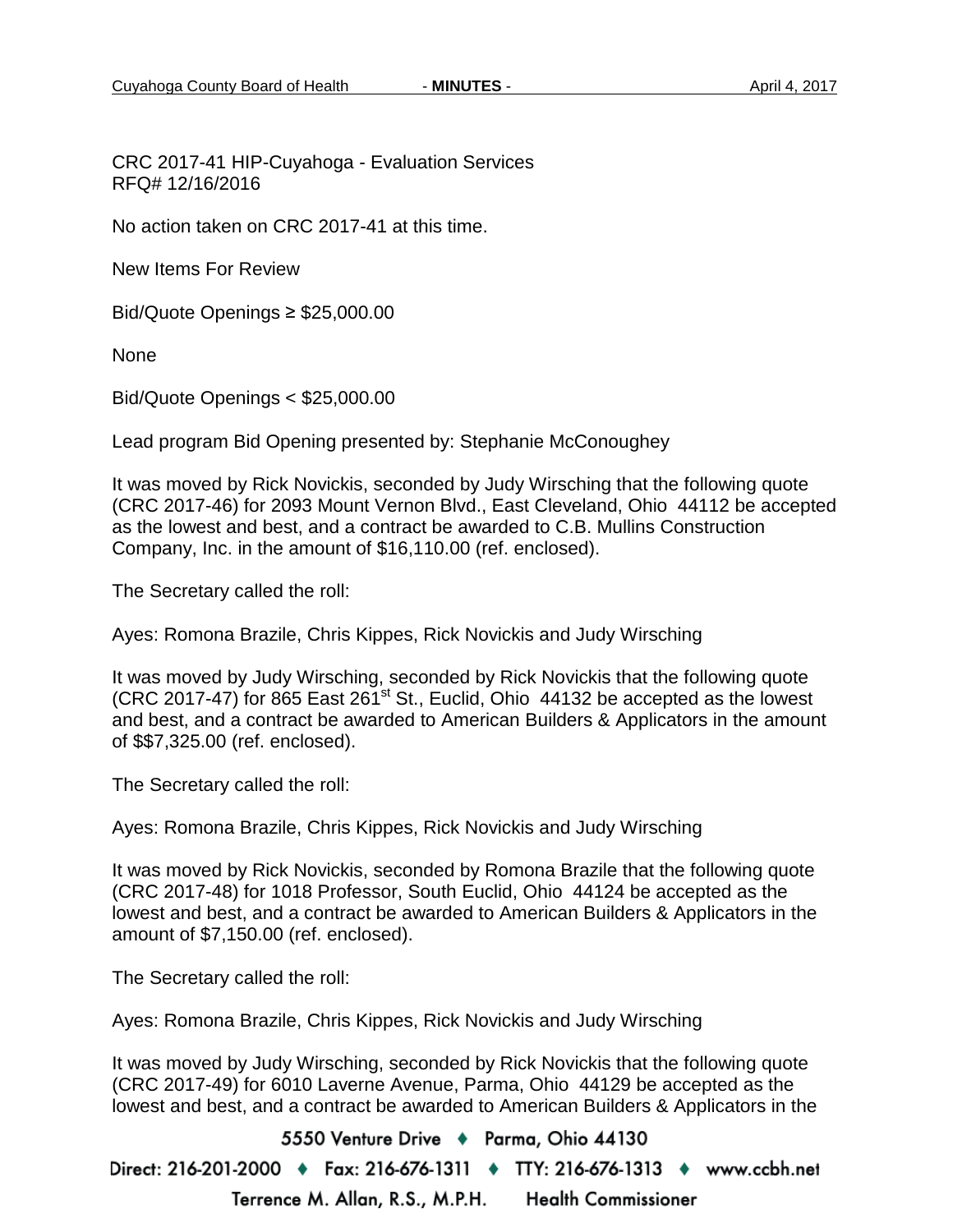CRC 2017-41 HIP-Cuyahoga - Evaluation Services RFQ# 12/16/2016

No action taken on CRC 2017-41 at this time.

New Items For Review

Bid/Quote Openings ≥ \$25,000.00

None

Bid/Quote Openings < \$25,000.00

Lead program Bid Opening presented by: Stephanie McConoughey

It was moved by Rick Novickis, seconded by Judy Wirsching that the following quote (CRC 2017-46) for 2093 Mount Vernon Blvd., East Cleveland, Ohio 44112 be accepted as the lowest and best, and a contract be awarded to C.B. Mullins Construction Company, Inc. in the amount of \$16,110.00 (ref. enclosed).

The Secretary called the roll:

Ayes: Romona Brazile, Chris Kippes, Rick Novickis and Judy Wirsching

It was moved by Judy Wirsching, seconded by Rick Novickis that the following quote  $($ CRC 2017-47 $)$  for 865 East 261<sup>st</sup> St., Euclid, Ohio 44132 be accepted as the lowest and best, and a contract be awarded to American Builders & Applicators in the amount of \$\$7,325.00 (ref. enclosed).

The Secretary called the roll:

Ayes: Romona Brazile, Chris Kippes, Rick Novickis and Judy Wirsching

It was moved by Rick Novickis, seconded by Romona Brazile that the following quote (CRC 2017-48) for 1018 Professor, South Euclid, Ohio 44124 be accepted as the lowest and best, and a contract be awarded to American Builders & Applicators in the amount of \$7,150.00 (ref. enclosed).

The Secretary called the roll:

Ayes: Romona Brazile, Chris Kippes, Rick Novickis and Judy Wirsching

It was moved by Judy Wirsching, seconded by Rick Novickis that the following quote (CRC 2017-49) for 6010 Laverne Avenue, Parma, Ohio 44129 be accepted as the lowest and best, and a contract be awarded to American Builders & Applicators in the

5550 Venture Drive + Parma, Ohio 44130 Direct: 216-201-2000 ♦ Fax: 216-676-1311 ♦ TTY: 216-676-1313 ♦ www.ccbh.net Terrence M. Allan, R.S., M.P.H. **Health Commissioner**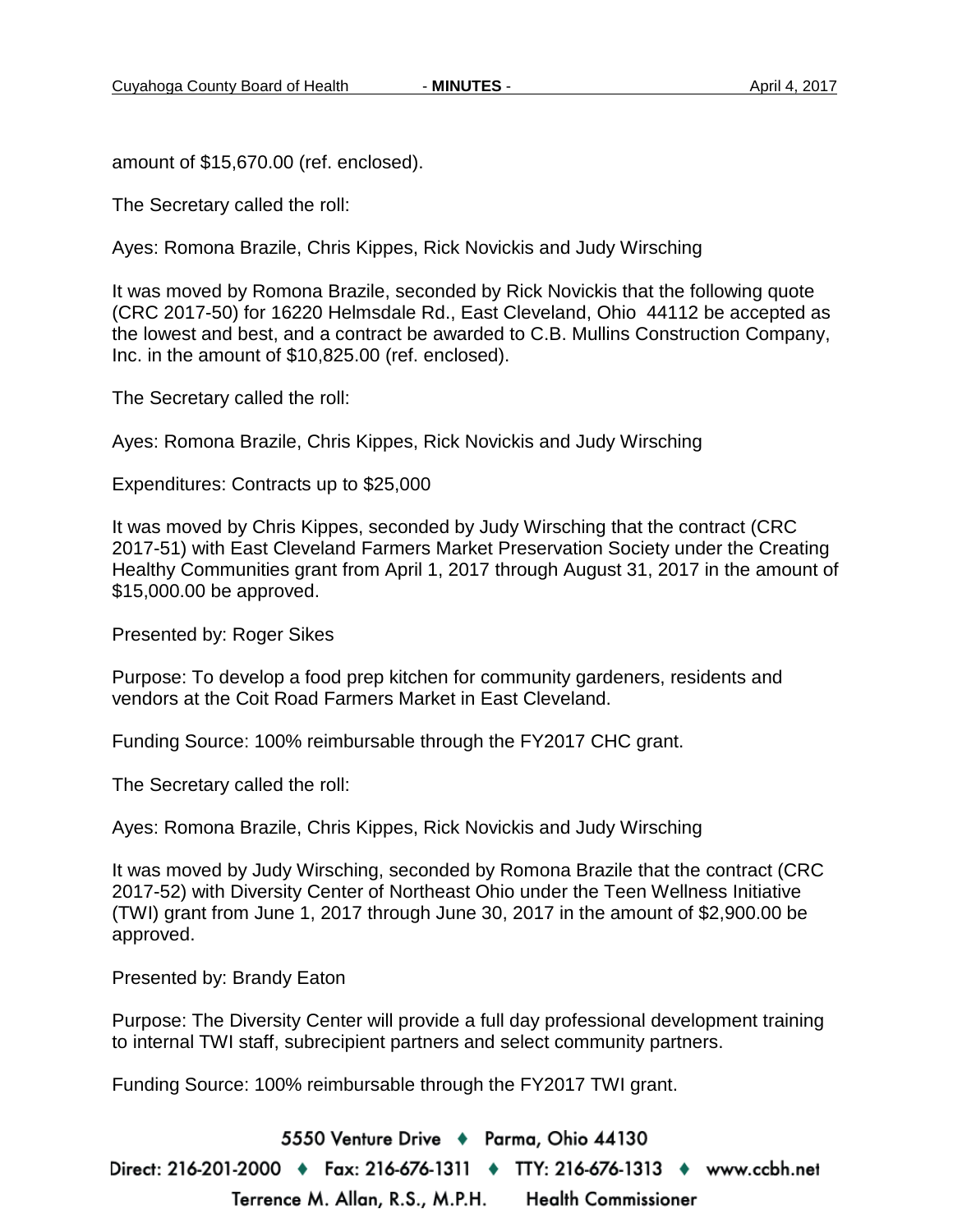amount of \$15,670.00 (ref. enclosed).

The Secretary called the roll:

Ayes: Romona Brazile, Chris Kippes, Rick Novickis and Judy Wirsching

It was moved by Romona Brazile, seconded by Rick Novickis that the following quote (CRC 2017-50) for 16220 Helmsdale Rd., East Cleveland, Ohio 44112 be accepted as the lowest and best, and a contract be awarded to C.B. Mullins Construction Company, Inc. in the amount of \$10,825.00 (ref. enclosed).

The Secretary called the roll:

Ayes: Romona Brazile, Chris Kippes, Rick Novickis and Judy Wirsching

Expenditures: Contracts up to \$25,000

It was moved by Chris Kippes, seconded by Judy Wirsching that the contract (CRC 2017-51) with East Cleveland Farmers Market Preservation Society under the Creating Healthy Communities grant from April 1, 2017 through August 31, 2017 in the amount of \$15,000.00 be approved.

Presented by: Roger Sikes

Purpose: To develop a food prep kitchen for community gardeners, residents and vendors at the Coit Road Farmers Market in East Cleveland.

Funding Source: 100% reimbursable through the FY2017 CHC grant.

The Secretary called the roll:

Ayes: Romona Brazile, Chris Kippes, Rick Novickis and Judy Wirsching

It was moved by Judy Wirsching, seconded by Romona Brazile that the contract (CRC 2017-52) with Diversity Center of Northeast Ohio under the Teen Wellness Initiative (TWI) grant from June 1, 2017 through June 30, 2017 in the amount of \$2,900.00 be approved.

Presented by: Brandy Eaton

Purpose: The Diversity Center will provide a full day professional development training to internal TWI staff, subrecipient partners and select community partners.

Funding Source: 100% reimbursable through the FY2017 TWI grant.

5550 Venture Drive + Parma, Ohio 44130 Direct: 216-201-2000 ♦ Fax: 216-676-1311 ♦ TTY: 216-676-1313 ♦ www.ccbh.net Terrence M. Allan, R.S., M.P.H. **Health Commissioner**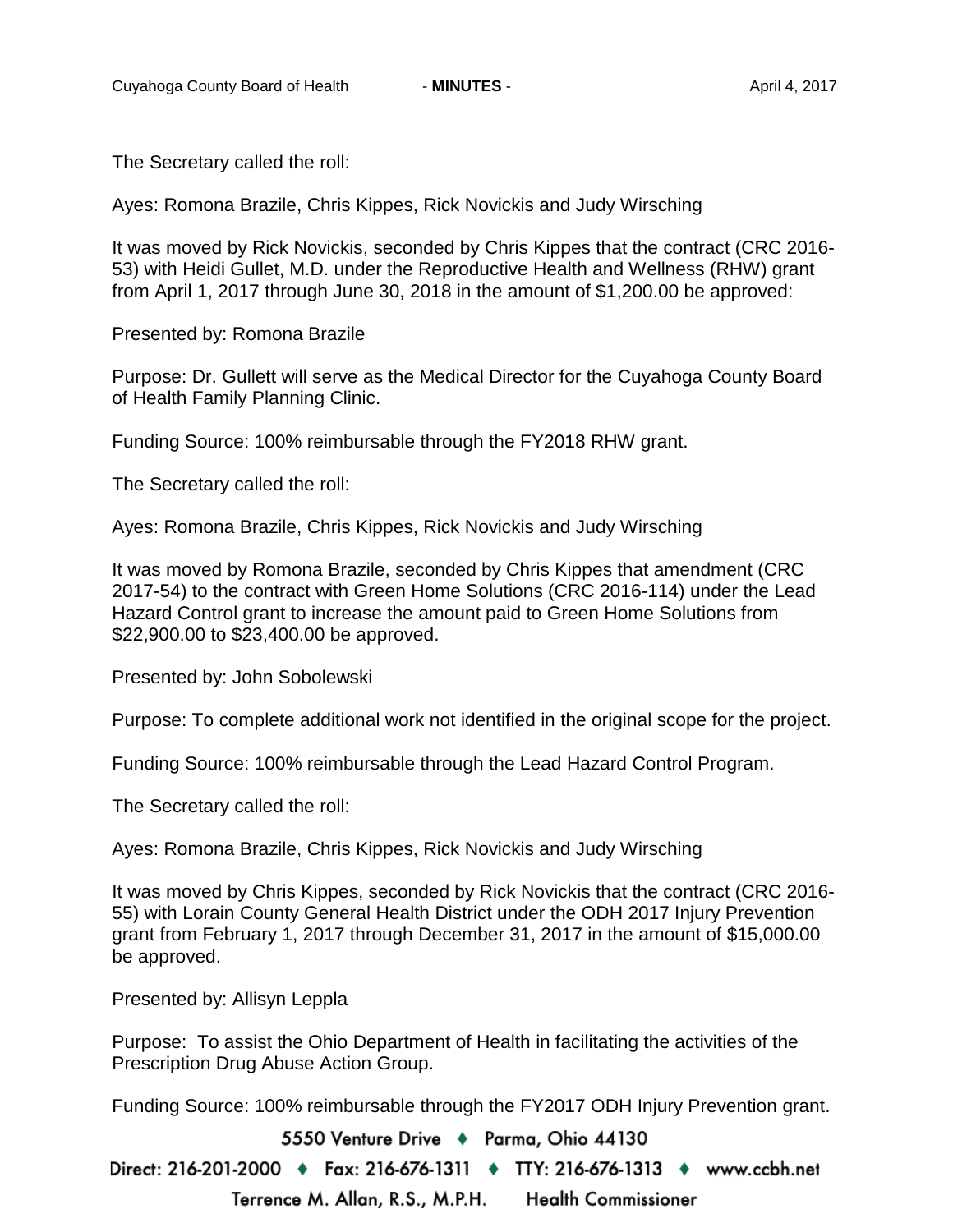The Secretary called the roll:

Ayes: Romona Brazile, Chris Kippes, Rick Novickis and Judy Wirsching

It was moved by Rick Novickis, seconded by Chris Kippes that the contract (CRC 2016- 53) with Heidi Gullet, M.D. under the Reproductive Health and Wellness (RHW) grant from April 1, 2017 through June 30, 2018 in the amount of \$1,200.00 be approved:

Presented by: Romona Brazile

Purpose: Dr. Gullett will serve as the Medical Director for the Cuyahoga County Board of Health Family Planning Clinic.

Funding Source: 100% reimbursable through the FY2018 RHW grant.

The Secretary called the roll:

Ayes: Romona Brazile, Chris Kippes, Rick Novickis and Judy Wirsching

It was moved by Romona Brazile, seconded by Chris Kippes that amendment (CRC 2017-54) to the contract with Green Home Solutions (CRC 2016-114) under the Lead Hazard Control grant to increase the amount paid to Green Home Solutions from \$22,900.00 to \$23,400.00 be approved.

Presented by: John Sobolewski

Purpose: To complete additional work not identified in the original scope for the project.

Funding Source: 100% reimbursable through the Lead Hazard Control Program.

The Secretary called the roll:

Ayes: Romona Brazile, Chris Kippes, Rick Novickis and Judy Wirsching

It was moved by Chris Kippes, seconded by Rick Novickis that the contract (CRC 2016- 55) with Lorain County General Health District under the ODH 2017 Injury Prevention grant from February 1, 2017 through December 31, 2017 in the amount of \$15,000.00 be approved.

Presented by: Allisyn Leppla

Purpose: To assist the Ohio Department of Health in facilitating the activities of the Prescription Drug Abuse Action Group.

Funding Source: 100% reimbursable through the FY2017 ODH Injury Prevention grant.

5550 Venture Drive + Parma, Ohio 44130

Direct: 216-201-2000 ♦ Fax: 216-676-1311 ♦ TTY: 216-676-1313 ♦ www.ccbh.net Terrence M. Allan, R.S., M.P.H. **Health Commissioner**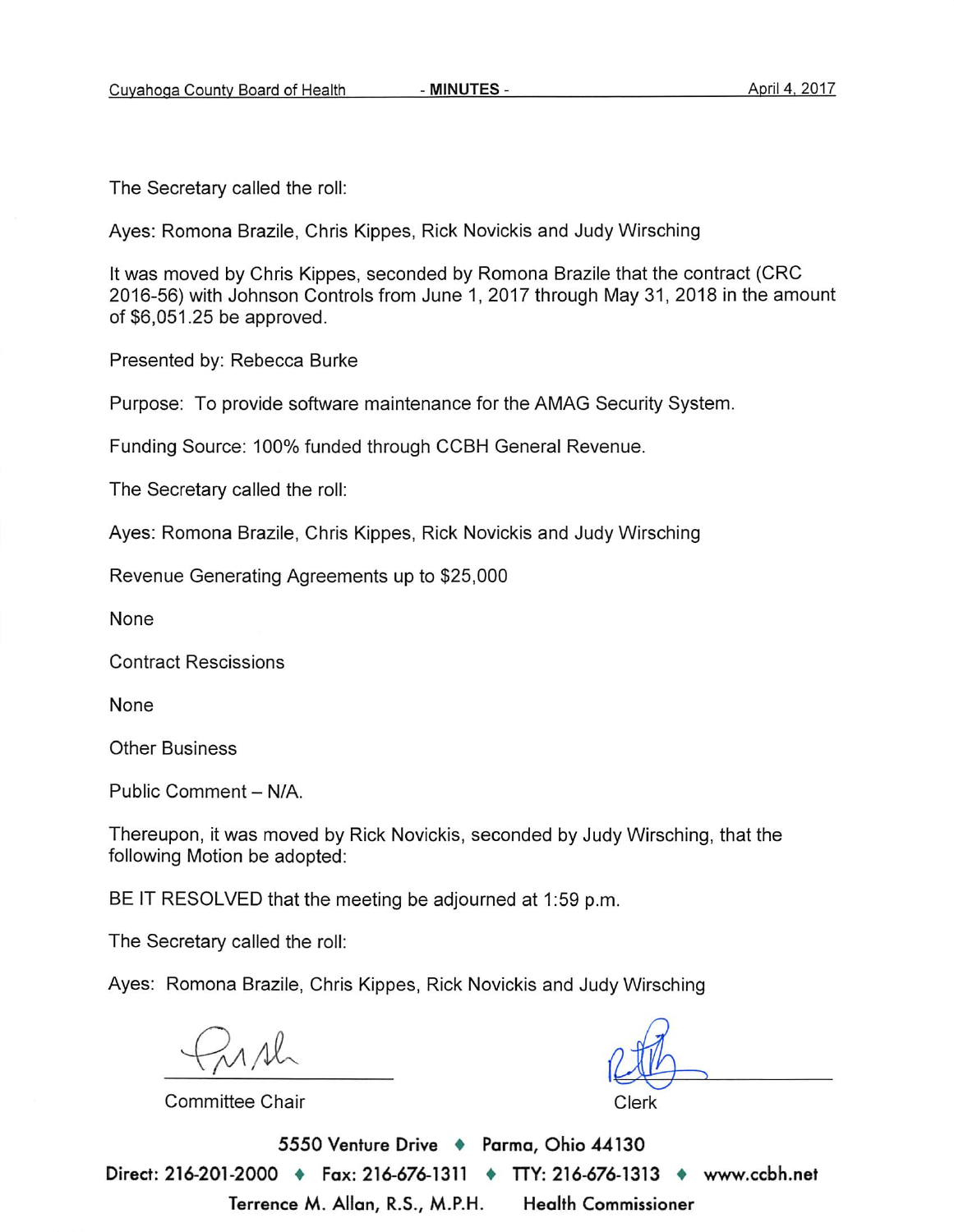The Secretary called the roll:

Ayes: Romona Brazile, Chris Kippes, Rick Novickis and Judy Wirsching

It was moved by Chris Kippes, seconded by Romona Brazile that the contract (CRC 2016-56) with Johnson Controls from June 1, 2017 through May 31, 2018 in the amount of \$6,051.25 be approved.

Presented by: Rebecca Burke

Purpose: To provide software maintenance for the AMAG Security System.

Funding Source: 100% funded through CCBH General Revenue.

The Secretary called the roll:

Ayes: Romona Brazile, Chris Kippes, Rick Novickis and Judy Wirsching

Revenue Generating Agreements up to \$25,000

None

**Contract Rescissions** 

None

**Other Business** 

Public Comment - N/A.

Thereupon, it was moved by Rick Novickis, seconded by Judy Wirsching, that the following Motion be adopted:

BE IT RESOLVED that the meeting be adjourned at 1:59 p.m.

The Secretary called the roll:

Ayes: Romona Brazile, Chris Kippes, Rick Novickis and Judy Wirsching

Committee Chair

Clerk

5550 Venture Drive + Parma, Ohio 44130 Direct: 216-201-2000 → Fax: 216-676-1311 → TTY: 216-676-1313 → www.ccbh.net Terrence M. Allan, R.S., M.P.H. **Health Commissioner**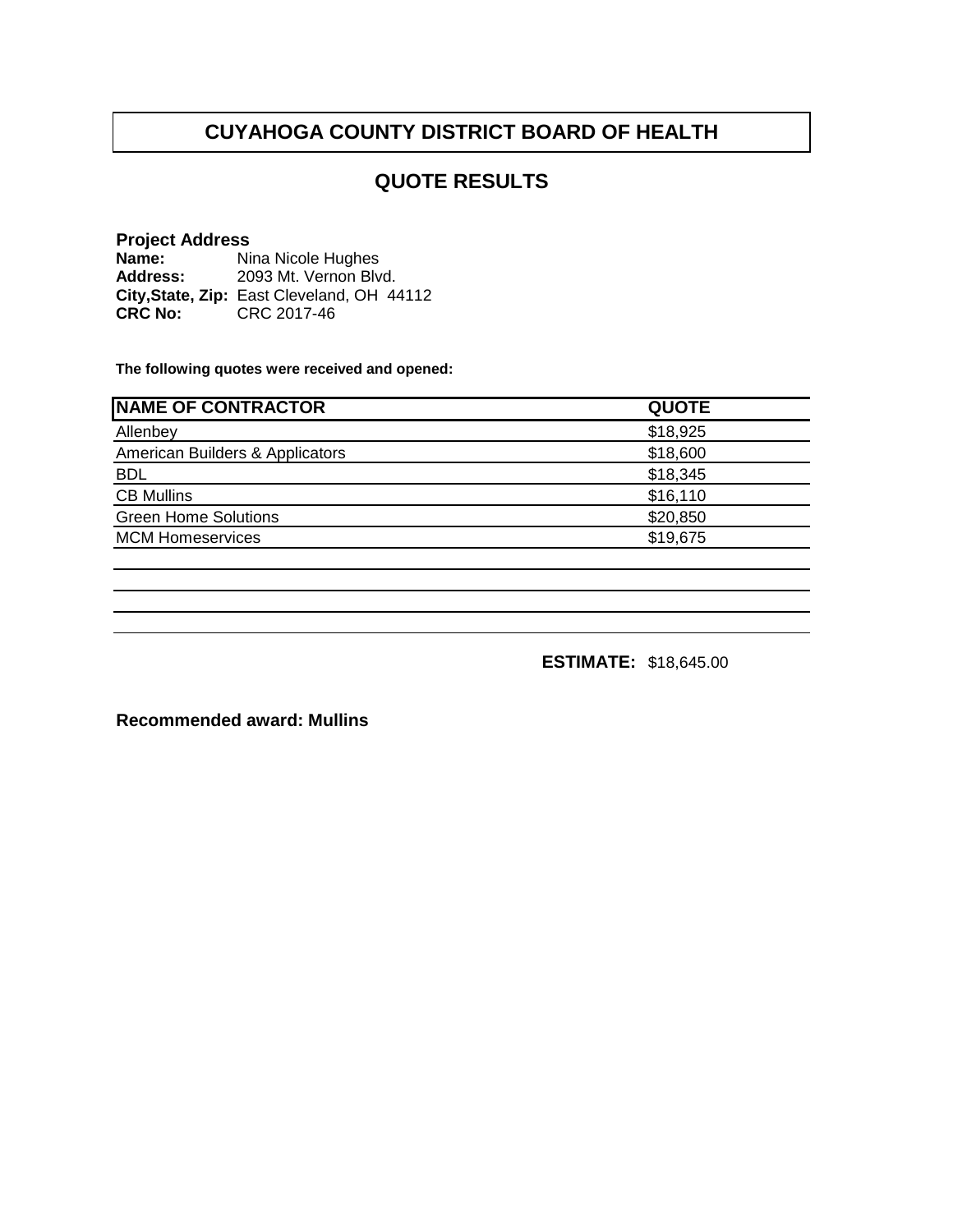## **QUOTE RESULTS**

#### **Project Address**

**Name: Address: City,State, Zip: CRC No:** CRC 2017-46 Nina Nicole Hughes 2093 Mt. Vernon Blvd. East Cleveland, OH 44112

**The following quotes were received and opened:**

| <b>QUOTE</b> |
|--------------|
| \$18,925     |
| \$18,600     |
| \$18,345     |
| \$16,110     |
| \$20,850     |
| \$19,675     |
|              |

**ESTIMATE:** \$18,645.00

**Recommended award: Mullins**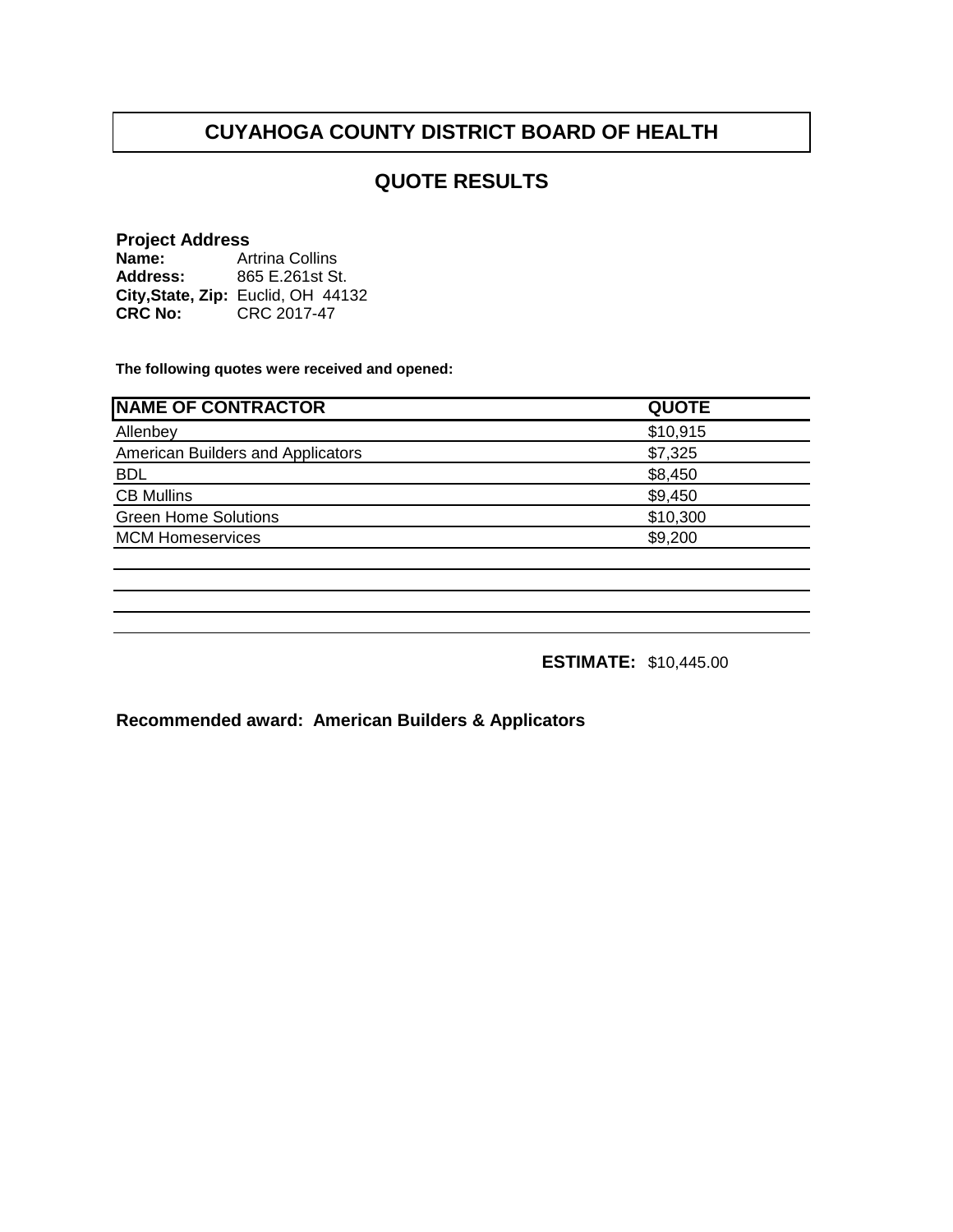## **QUOTE RESULTS**

#### **Project Address**

| Name:          | <b>Artrina Collins</b>             |
|----------------|------------------------------------|
| Address:       | 865 E.261st St.                    |
|                | City, State, Zip: Euclid, OH 44132 |
| <b>CRC No:</b> | CRC 2017-47                        |

**The following quotes were received and opened:**

| <b>NAME OF CONTRACTOR</b>         | <b>QUOTE</b> |
|-----------------------------------|--------------|
| Allenbey                          | \$10,915     |
| American Builders and Applicators | \$7,325      |
| <b>BDL</b>                        | \$8,450      |
| <b>CB Mullins</b>                 | \$9,450      |
| <b>Green Home Solutions</b>       | \$10,300     |
| <b>MCM Homeservices</b>           | \$9,200      |
|                                   |              |

**ESTIMATE:** \$10,445.00

**Recommended award: American Builders & Applicators**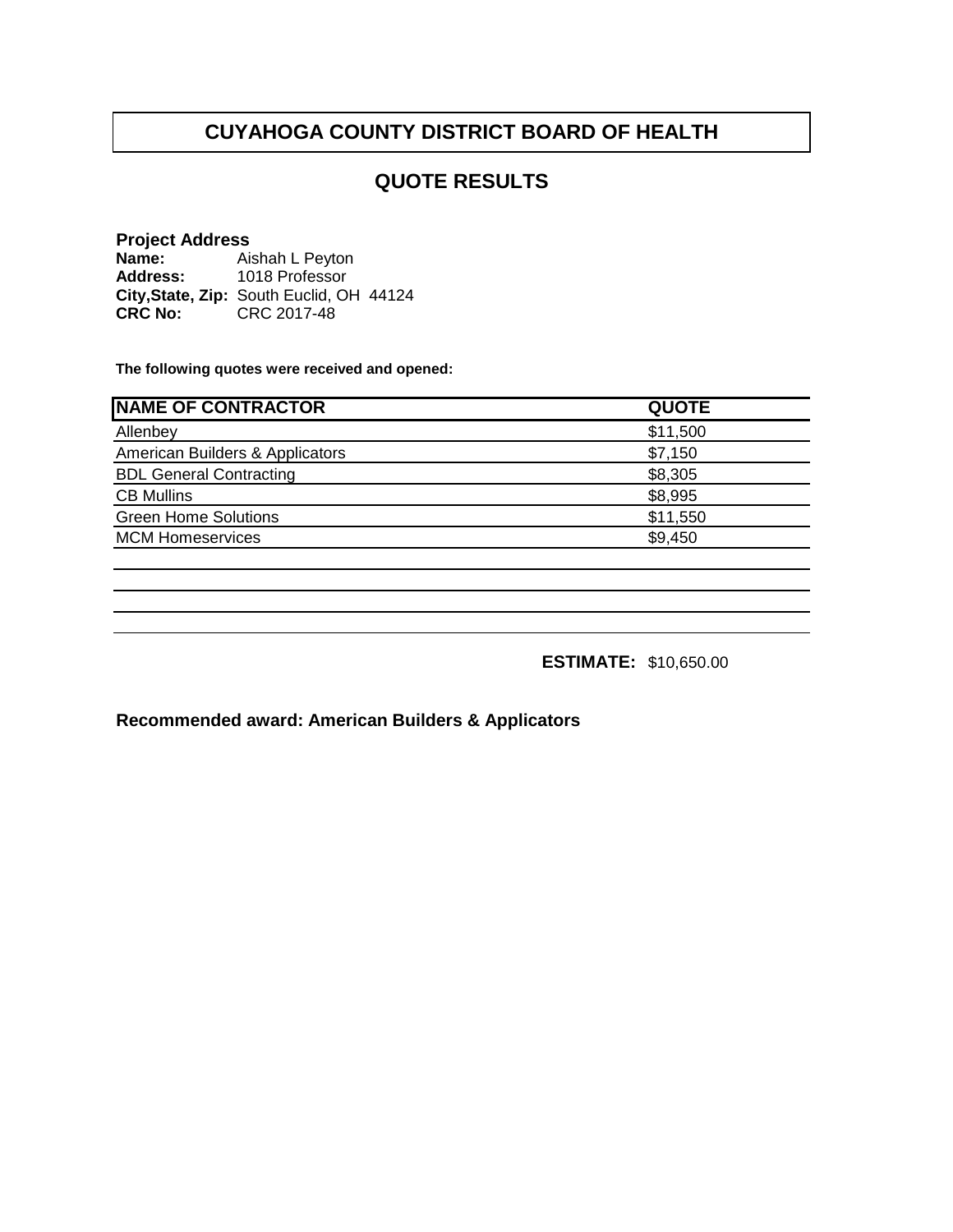## **QUOTE RESULTS**

#### **Project Address**

**Name: Address:** City, State, Zip: South Euclid, OH 44124 **CRC No:** CRC 2017-48 Aishah L Peyton 1018 Professor

**The following quotes were received and opened:**

| <b>NAME OF CONTRACTOR</b>       | <b>QUOTE</b> |
|---------------------------------|--------------|
| Allenbey                        | \$11,500     |
| American Builders & Applicators | \$7,150      |
| <b>BDL General Contracting</b>  | \$8,305      |
| <b>CB Mullins</b>               | \$8,995      |
| <b>Green Home Solutions</b>     | \$11,550     |
| <b>MCM Homeservices</b>         | \$9,450      |
|                                 |              |

**ESTIMATE:** \$10,650.00

**Recommended award: American Builders & Applicators**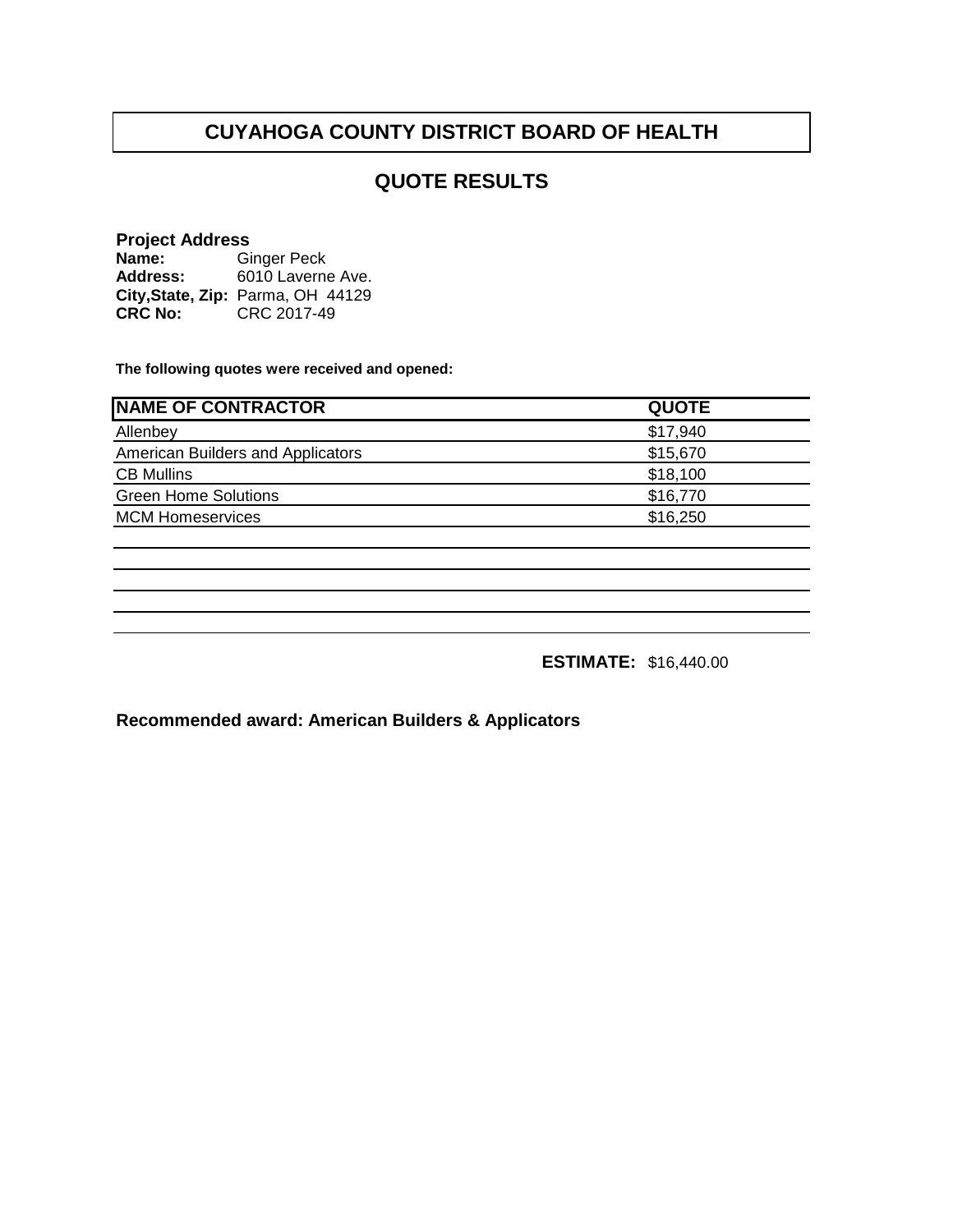## **QUOTE RESULTS**

#### **Project Address**

**Name: Address: City,State, Zip:** Parma, OH 44129**CRC No:** CRC 2017-49 Ginger Peck 6010 Laverne Ave.

**The following quotes were received and opened:**

| <b>NAME OF CONTRACTOR</b>         | <b>QUOTE</b> |
|-----------------------------------|--------------|
| Allenbey                          | \$17,940     |
| American Builders and Applicators | \$15,670     |
| <b>CB Mullins</b>                 | \$18,100     |
| <b>Green Home Solutions</b>       | \$16,770     |
| <b>MCM Homeservices</b>           | \$16,250     |
|                                   |              |

**ESTIMATE:** \$16,440.00

**Recommended award: American Builders & Applicators**